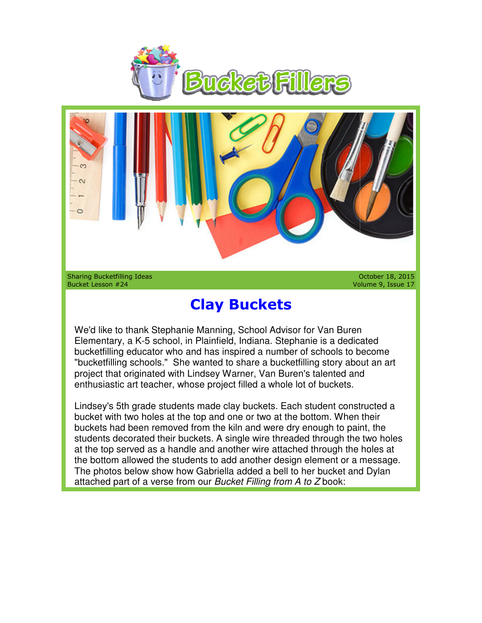



Sharing Bucketfilling Ideas Bucket Lesson #24

October 18, 2015 Volume 9, Issue 17 October Volume Issue

## **Clay Buckets**

We'd like to thank Stephanie Manning, School Advisor for Van Buren Elementary, a K-5 school, in Plainfield, Indiana. Stephanie is a dedicated Elementary, a K-5 school, in Plainfield, Indiana. Stephanie is a dedicated<br>bucketfilling educator who and has inspired a number of schools to become "bucketfilling schools." She wanted to share a bucketfilling story about an art project that originated with Lindsey Warner, Van Buren's talented and project that originated with Lindsey Warner, Van Buren's talented a<br>enthusiastic art teacher, whose project filled a whole lot of buckets.

Lindsey's 5th grade students made clay buckets. Each student constructed a bucket with two holes at the top and one or two at the bottom. When their buckets had been removed from the kiln and were dry enough to paint, the Lindsey's 5th grade students made clay buckets. Each student constructed a<br>bucket with two holes at the top and one or two at the bottom. When their<br>buckets had been removed from the kiln and were dry enough to paint, the<br> at the top served as a handle and another wire attached through the holes at the bottom allowed the students to add another design element or a message. The photos below show how Gabriella added a bell to her bucket and Dylan attached part of a verse from our Bucket Filling from A to Z book: a handle and another wire attached through the ł<br>he students to add another design element or a n<br>ıow how Gabriella added a bell to her bucket and e Manning, School Advisor for Van Buren<br>
n Plainfield, Indiana. Stephanie is a dedicated<br>
and has inspired a number of schools to become<br>
wanted to share a bucketfilling story about an ar<br>
Lindsey Warner, Van Buren's talen